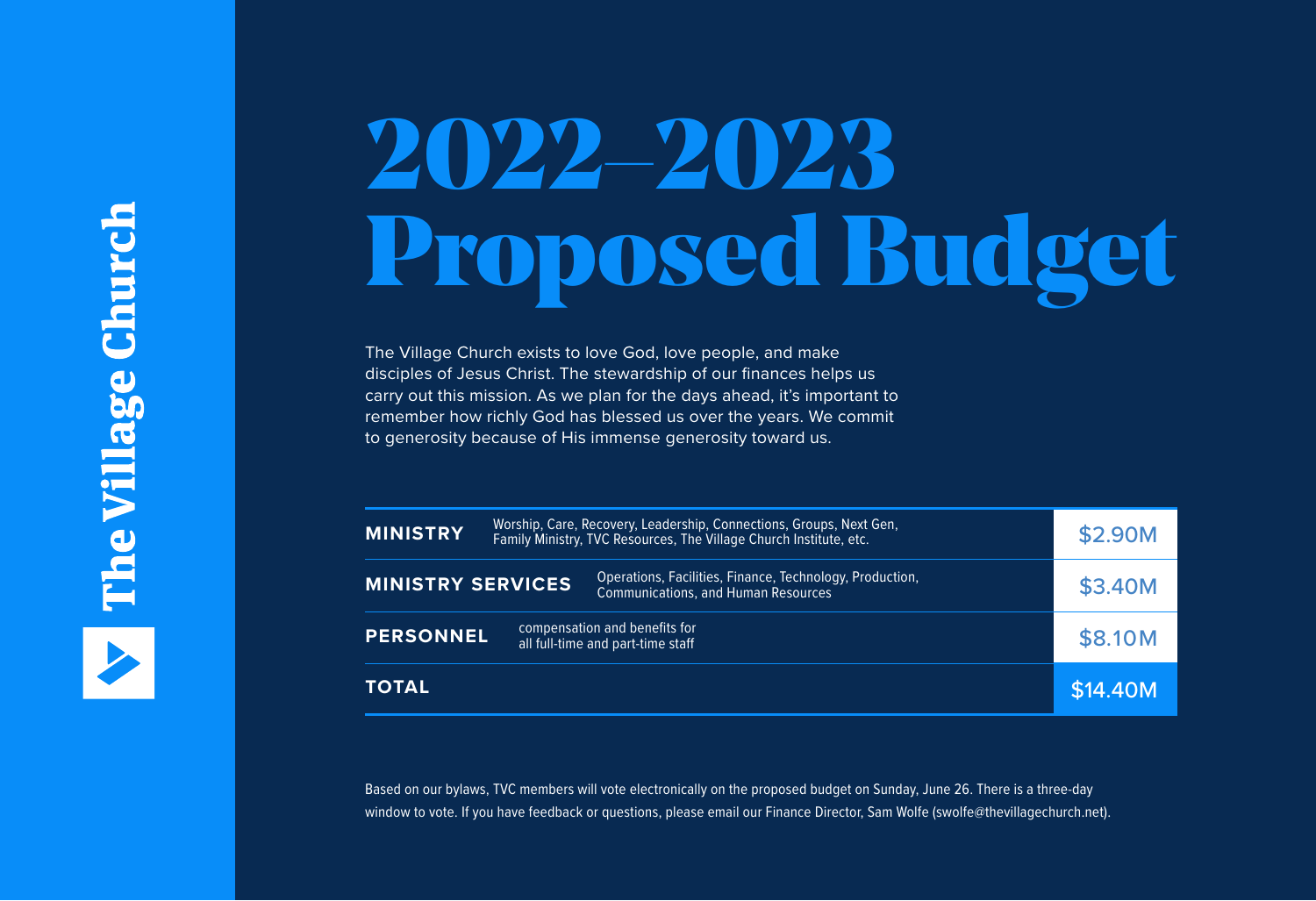## 2022–2023 Proposed Budget

The Village Church exists to love God, love people, and make disciples of Jesus Christ. The stewardship of our finances helps us carry out this mission. As we plan for the days ahead, it's important to remember how richly God has blessed us over the years. We commit to generosity because of His immense generosity toward us.

| Worship, Care, Recovery, Leadership, Connections, Groups, Next Gen,<br><b>MINISTRY</b><br>Family Ministry, TVC Resources, The Village Church Institute, etc. |  | \$2.90M                                                                                                |          |
|--------------------------------------------------------------------------------------------------------------------------------------------------------------|--|--------------------------------------------------------------------------------------------------------|----------|
| <b>MINISTRY SERVICES</b>                                                                                                                                     |  | Operations, Facilities, Finance, Technology, Production,<br><b>Communications, and Human Resources</b> | \$3.40M  |
| compensation and benefits for<br><b>PERSONNEL</b><br>all full-time and part-time staff                                                                       |  | \$8.10M                                                                                                |          |
| <b>TOTAL</b>                                                                                                                                                 |  |                                                                                                        | \$14.40M |

Based on our bylaws, TVC members will vote electronically on the proposed budget on Sunday, June 26. There is a three-day window to vote. If you have feedback or questions, please email our Finance Director, Sam Wolfe (swolfe@thevillagechurch.net).